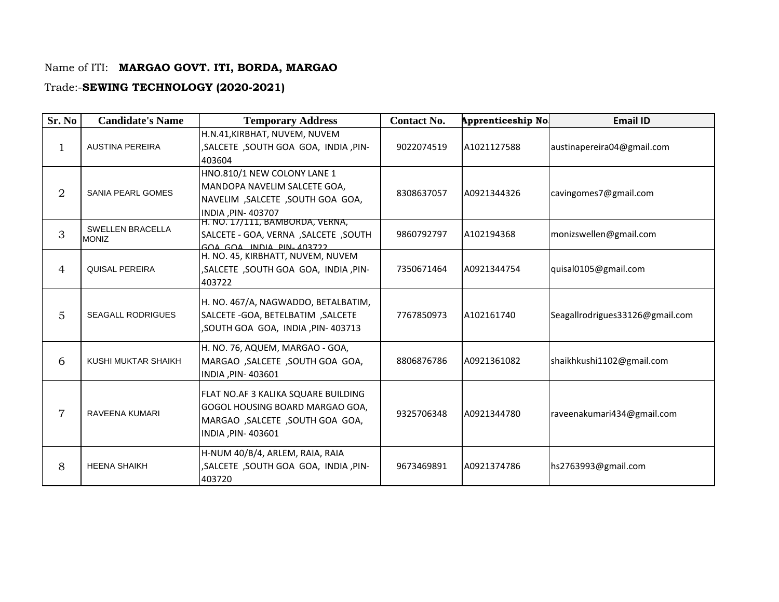## Name of ITI: **MARGAO GOVT. ITI, BORDA, MARGAO**

## Trade:-**SEWING TECHNOLOGY (2020-2021)**

| Sr. No         | <b>Candidate's Name</b>                 | <b>Temporary Address</b>                                                                                                         | <b>Contact No.</b> | Apprenticeship No | <b>Email ID</b>                 |
|----------------|-----------------------------------------|----------------------------------------------------------------------------------------------------------------------------------|--------------------|-------------------|---------------------------------|
| $\mathbf{1}$   | <b>AUSTINA PEREIRA</b>                  | H.N.41, KIRBHAT, NUVEM, NUVEM<br>, SALCETE , SOUTH GOA GOA, INDIA, PIN-<br>403604                                                | 9022074519         | A1021127588       | austinapereira04@gmail.com      |
| $\overline{2}$ | SANIA PEARL GOMES                       | HNO.810/1 NEW COLONY LANE 1<br>MANDOPA NAVELIM SALCETE GOA,<br>NAVELIM, SALCETE, SOUTH GOA GOA,<br>INDIA, PIN-403707             | 8308637057         | A0921344326       | cavingomes7@gmail.com           |
| 3              | <b>SWELLEN BRACELLA</b><br><b>MONIZ</b> | H. NO. 17/111, BAMBORDA, VERNA,<br>SALCETE - GOA, VERNA , SALCETE , SOUTH<br>GOA GOA INDIA PIN, 103722                           | 9860792797         | A102194368        | monizswellen@gmail.com          |
| $\overline{4}$ | <b>QUISAL PEREIRA</b>                   | H. NO. 45, KIRBHATT, NUVEM, NUVEM<br>, SALCETE , SOUTH GOA GOA, INDIA, PIN-<br>403722                                            | 7350671464         | A0921344754       | quisal0105@gmail.com            |
| 5              | <b>SEAGALL RODRIGUES</b>                | H. NO. 467/A, NAGWADDO, BETALBATIM,<br>SALCETE - GOA, BETELBATIM, SALCETE<br>, SOUTH GOA GOA, INDIA, PIN-403713                  | 7767850973         | A102161740        | Seagallrodrigues33126@gmail.com |
| 6              | KUSHI MUKTAR SHAIKH                     | H. NO. 76, AQUEM, MARGAO - GOA,<br>MARGAO , SALCETE , SOUTH GOA GOA,<br>INDIA, PIN-403601                                        | 8806876786         | A0921361082       | shaikhkushi1102@gmail.com       |
| $\overline{7}$ | <b>RAVEENA KUMARI</b>                   | FLAT NO.AF 3 KALIKA SQUARE BUILDING<br>GOGOL HOUSING BOARD MARGAO GOA,<br>MARGAO , SALCETE , SOUTH GOA GOA,<br>INDIA, PIN-403601 | 9325706348         | A0921344780       | raveenakumari434@gmail.com      |
| 8              | <b>HEENA SHAIKH</b>                     | H-NUM 40/B/4, ARLEM, RAIA, RAIA<br>, SALCETE , SOUTH GOA GOA, INDIA, PIN-<br>403720                                              | 9673469891         | A0921374786       | hs2763993@gmail.com             |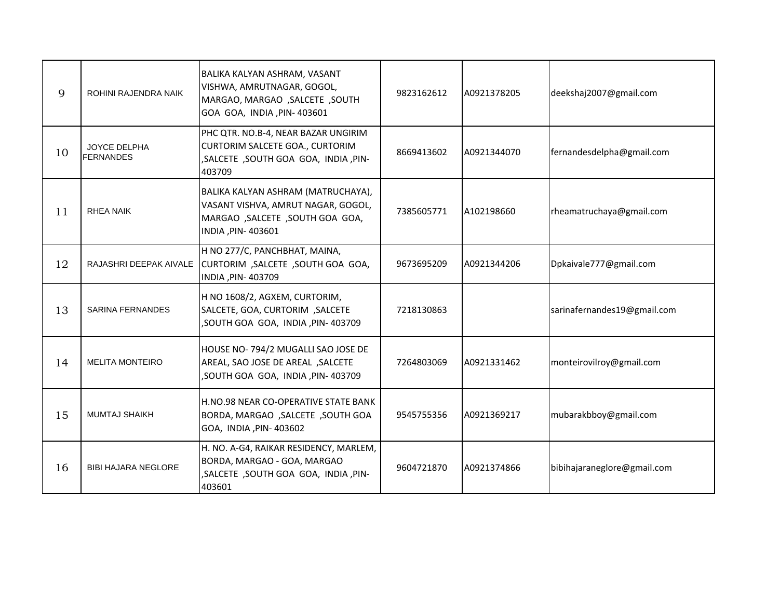| 9  | ROHINI RAJENDRA NAIK                    | BALIKA KALYAN ASHRAM, VASANT<br>VISHWA, AMRUTNAGAR, GOGOL,<br>MARGAO, MARGAO , SALCETE , SOUTH<br>GOA GOA, INDIA, PIN- 403601    | 9823162612 | A0921378205 | deekshaj2007@gmail.com      |
|----|-----------------------------------------|----------------------------------------------------------------------------------------------------------------------------------|------------|-------------|-----------------------------|
| 10 | <b>JOYCE DELPHA</b><br><b>FERNANDES</b> | PHC QTR. NO.B-4, NEAR BAZAR UNGIRIM<br>CURTORIM SALCETE GOA., CURTORIM<br>, SALCETE , SOUTH GOA GOA, INDIA, PIN-<br>403709       | 8669413602 | A0921344070 | fernandesdelpha@gmail.com   |
| 11 | RHEA NAIK                               | BALIKA KALYAN ASHRAM (MATRUCHAYA),<br>VASANT VISHVA, AMRUT NAGAR, GOGOL,<br>MARGAO, SALCETE, SOUTH GOA GOA,<br>INDIA, PIN-403601 | 7385605771 | A102198660  | rheamatruchaya@gmail.com    |
| 12 | RAJASHRI DEEPAK AIVALE                  | H NO 277/C, PANCHBHAT, MAINA,<br>CURTORIM, SALCETE, SOUTH GOA GOA,<br>INDIA, PIN-403709                                          | 9673695209 | A0921344206 | Dpkaivale777@gmail.com      |
| 13 | <b>SARINA FERNANDES</b>                 | H NO 1608/2, AGXEM, CURTORIM,<br>SALCETE, GOA, CURTORIM, SALCETE<br>, SOUTH GOA GOA, INDIA, PIN-403709                           | 7218130863 |             | sarinafernandes19@gmail.com |
| 14 | <b>MELITA MONTEIRO</b>                  | HOUSE NO-794/2 MUGALLI SAO JOSE DE<br>AREAL, SAO JOSE DE AREAL, SALCETE<br>, SOUTH GOA GOA, INDIA, PIN-403709                    | 7264803069 | A0921331462 | monteirovilroy@gmail.com    |
| 15 | <b>MUMTAJ SHAIKH</b>                    | H.NO.98 NEAR CO-OPERATIVE STATE BANK<br>BORDA, MARGAO , SALCETE , SOUTH GOA<br>GOA, INDIA, PIN-403602                            | 9545755356 | A0921369217 | mubarakbboy@gmail.com       |
| 16 | <b>BIBI HAJARA NEGLORE</b>              | H. NO. A-G4, RAIKAR RESIDENCY, MARLEM,<br>BORDA, MARGAO - GOA, MARGAO<br>, SALCETE , SOUTH GOA GOA, INDIA, PIN-<br>403601        | 9604721870 | A0921374866 | bibihajaraneglore@gmail.com |